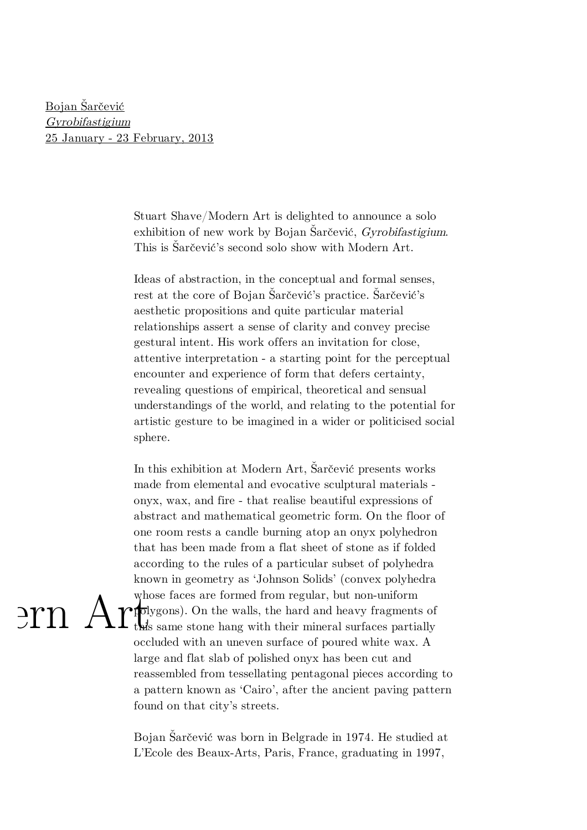Bojan Šarčević Gyrobifastigium [25 January - 23 February, 2013](http://www.modernart.net/view.html?id=1,4,854,855)

 $\text{Prn}$   $\text{\textit{F}}$ 

Stuart Shave/Modern Art is delighted to announce a solo exhibition of new work by Bojan Šarčević, *Gyrobifastigium*. This is Sarcevic's second solo show with Modern Art.

Ideas of abstraction, in the conceptual and formal senses, rest at the core of Bojan Sarčević's practice. Sarčević's aesthetic propositions and quite particular material relationships assert a sense of clarity and convey precise gestural intent. His work offers an invitation for close, attentive interpretation - a starting point for the perceptual encounter and experience of form that defers certainty, revealing questions of empirical, theoretical and sensual understandings of the world, and relating to the potential for artistic gesture to be imagined in a wider or politicised social sphere.

In this exhibition at Modern Art, Sarčević presents works made from elemental and evocative sculptural materials onyx, wax, and fire - that realise beautiful expressions of abstract and mathematical geometric form. On the floor of one room rests a candle burning atop an onyx polyhedron that has been made from a flat sheet of stone as if folded according to the rules of a particular subset of polyhedra known in geometry as 'Johnson Solids' (convex polyhedra whose faces are formed from regular, but non-uniform **p**dygons). On the walls, the hard and heavy fragments of this same stone hang with their mineral surfaces partially occluded with an uneven surface of poured white wax. A large and flat slab of polished onyx has been cut and reassembled from tessellating pentagonal pieces according to a pattern known as 'Cairo', after the ancient paving pattern found on that city's streets.

Bojan Šarčević was born in Belgrade in 1974. He studied at L'Ecole des Beaux-Arts, Paris, France, graduating in 1997,